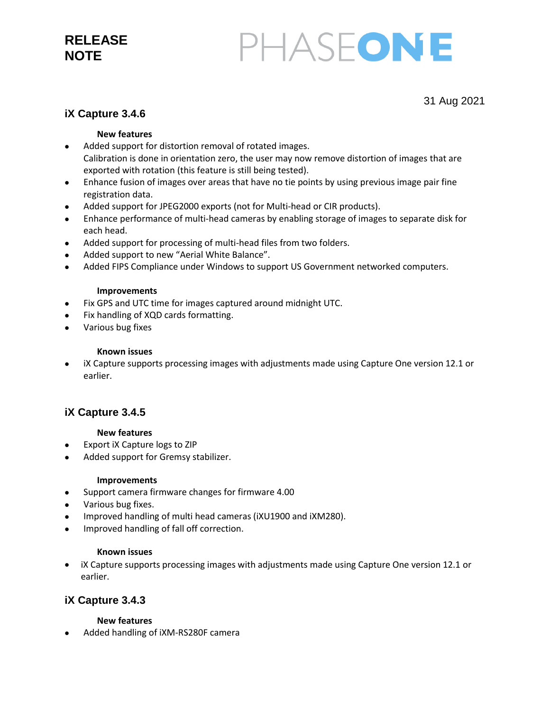# **RELEASE NOTE**

# PHASEONE

31 Aug 2021

## **iX Capture 3.4.6**

#### **New features**

- Added support for distortion removal of rotated images. Calibration is done in orientation zero, the user may now remove distortion of images that are exported with rotation (this feature is still being tested).
- Enhance fusion of images over areas that have no tie points by using previous image pair fine registration data.
- Added support for JPEG2000 exports (not for Multi-head or CIR products).
- Enhance performance of multi-head cameras by enabling storage of images to separate disk for each head.
- Added support for processing of multi-head files from two folders.
- Added support to new "Aerial White Balance".
- Added FIPS Compliance under Windows to support US Government networked computers.

#### **Improvements**

- Fix GPS and UTC time for images captured around midnight UTC.
- Fix handling of XQD cards formatting.
- Various bug fixes

#### **Known issues**

 iX Capture supports processing images with adjustments made using Capture One version 12.1 or earlier.

## **iX Capture 3.4.5**

#### **New features**

- Export iX Capture logs to ZIP
- Added support for Gremsy stabilizer.

#### **Improvements**

- Support camera firmware changes for firmware 4.00
- Various bug fixes.
- Improved handling of multi head cameras (iXU1900 and iXM280).
- Improved handling of fall off correction.

#### **Known issues**

• iX Capture supports processing images with adjustments made using Capture One version 12.1 or earlier.

## **iX Capture 3.4.3**

#### **New features**

Added handling of iXM-RS280F camera